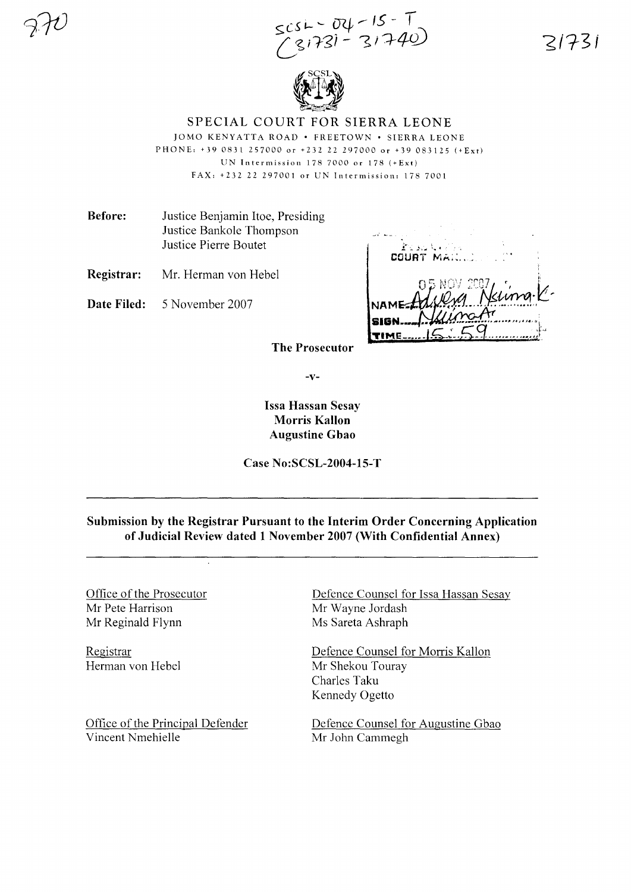$505L - 04 - 15 - T$ <br>(  $81731 - 31740$ )



SPECIAL COURT FOR SIERRA LEONE lOMO KENYATTA ROAD· FREETOWN· SIERRA LEONE PHONE: +390831257000 or +23222297000 or +39 083125 (+Ext) UN Intermission 178 7000 or 178 (+Ext) FAX: +232 22 297001 or UN Intermission: 178 7001

Before: Justice Benjamin Itoe, Presiding Justice Bankole Thompson Justice Pierre Boutet

Registrar: Mr. Herman von Hebel

Date Filed: 5 November 2007

~.; \_.- 1- '.. *i-,'..* ... COURT<sub>1</sub> TIME

The Prosecutor

-v-

Issa Hassan Sesay Morris Kallon Augustine Gbao

Case No:SCSL-2004-15-T

#### Submission by the Registrar Pursuant to the Interim Order Concerning Application of Judicial Review dated 1 November 2007 (With Confidential Annex)

Office of the Prosecutor Mr Pete Harrison Mr Reginald Flynn

Registrar Herman von Hebel

Office of the Principal Defender Vincent Nmehielle

Defence Counsel for Issa Hassan Sesay Mr Wayne Jordash Ms Sareta Ashraph

Defence Counsel for Morris Kallon Mr Shekou Touray Charles Taku Kennedy Ogetto

Defence Counsel for Augustine Gbao Mr John Cammegh

31731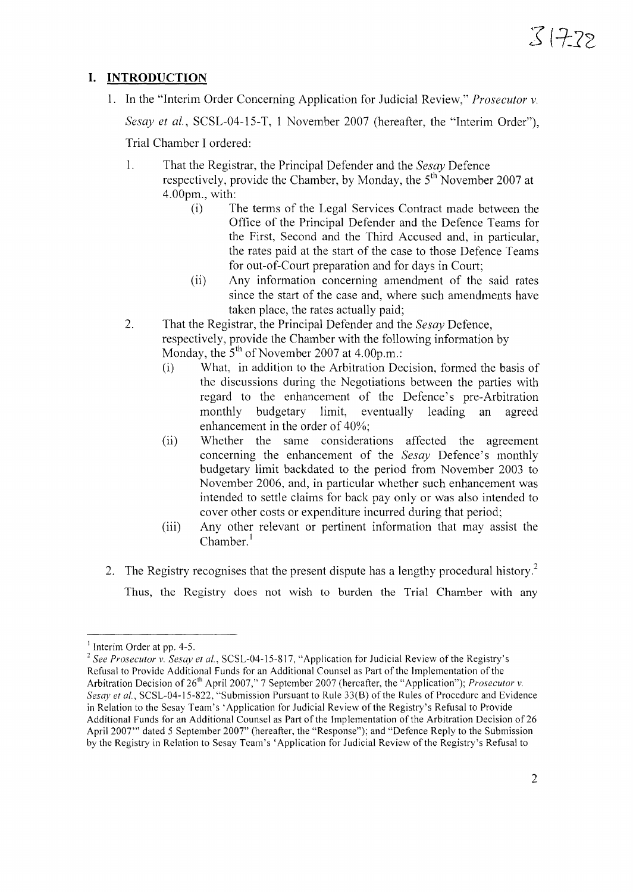## **I. INTRODUCTION**

1. In the "Interim Order Concerning Application for Judicial Review," *Prosecutor* v.

*Sesay et al.,* SCSL-04-15-T, 1 November 2007 (hereafter, the "Interim Order"),

Trial Chamber I ordered:

- 1. That the Registrar, the Principal Defender and the *Sesay* Defence respectively, provide the Chamber, by Monday, the  $5<sup>th</sup>$  November 2007 at 4.00pm., with:
	- (i) The terms of the Legal Services Contract made between the Office of the Principal Defender and the Defence Teams for the First, Second and the Third Accused and, in particular, the rates paid at the start of the case to those Defence Teams for out-of-Court preparation and for days in Court;
	- (ii) Any information concerning amendment of the said rates since the start of the case and, where such amendments have taken place, the rates actually paid;
- 2. That the Registrar, the Principal Defender and the *Sesay* Defence, respectively, provide the Chamber with the following information by Monday, the  $5<sup>th</sup>$  of November 2007 at 4.00p.m.:
	- (i) What, in addition to the Arbitration Decision, formed the basis of the discussions during the Negotiations between the parties with regard to the enhancement of the Defence's pre-Arbitration monthly budgetary limit, eventually leading an agreed enhancement in the order of 40%;
	- (ii) Whether the same considerations affected the agreement concerning the enhancement of the *Sesay* Defence's monthly budgetary limit backdated to the period from November 2003 to November 2006, and, in particular whether such enhancement was intended to settle claims for back pay only or was also intended to cover other costs or expenditure incurred during that period;
	- (iii) Any other relevant or pertinent information that may assist the Chamber.<sup>1</sup>
- 2. The Registry recognises that the present dispute has a lengthy procedural history. $\lambda$ Thus, the Registry does not wish to burden the Trial Chamber with any

 $<sup>1</sup>$  Interim Order at pp. 4-5.</sup>

*<sup>2</sup> See Prosecutor* v. *Sesay et aI.,* SCSL-04-15-817, "Application for Judicial Review ofthe Registry's Refusal to Provide Additional Funds for an Additional Counsel as Part of the Implementation of the Arbitration Decision of 26<sup>th</sup> April 2007," 7 September 2007 (hereafter, the "Application"); *Prosecutor* v. *Sesay et al.*, SCSL-04-15-822, "Submission Pursuant to Rule 33(B) of the Rules of Procedure and Evidence in Relation to the Sesay Team's 'Application for Judicial Review of the Registry's Refusal to Provide Additional Funds for an Additional Counsel as Part of the Implementation of the Arbitration Decision of 26 April *2001'''* dated 5 September 2007" (hereafter, the "Response"); and "Defence Reply to the Submission by the Registry in Relation to Sesay Team's 'Application for Judicial Review ofthe Registry's Refusal to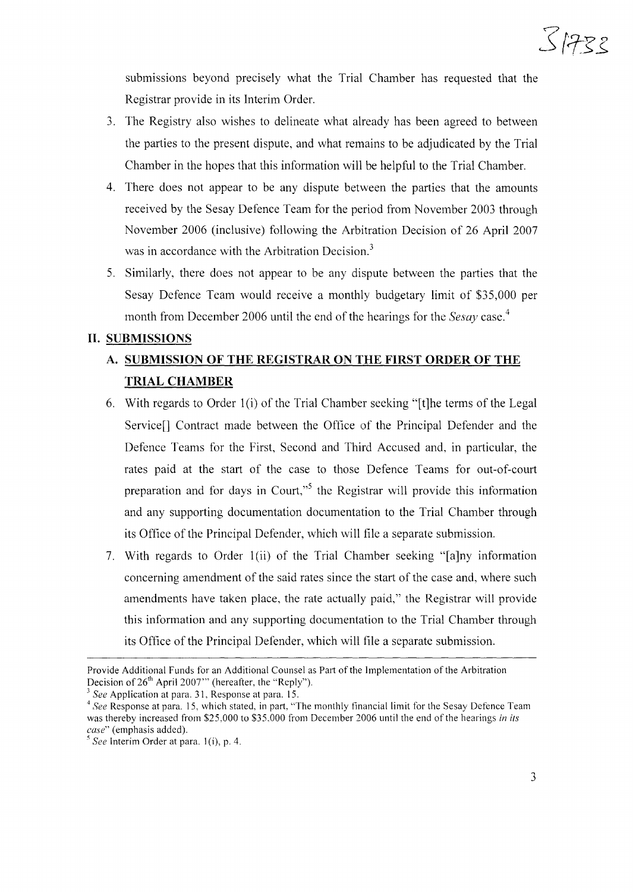submissions beyond precisely what the Trial Chamber has requested that the Registrar provide in its Interim Order.

- 3. The Registry also wishes to delineate what already has been agreed to between the parties to the present dispute, and what remains to be adjudicated by the Trial Chamber in the hopes that this information will be helpful to the Trial Chamber.
- 4. There does not appear to be any dispute between the parties that the amounts received by the Sesay Defence Team for the period from November 2003 through November 2006 (inclusive) following the Arbitration Decision of 26 April 2007 was in accordance with the Arbitration Decision.<sup>3</sup>
- 5. Similarly, there does not appear to be any dispute between the parties that the Sesay Defence Team would receive a monthly budgetary limit of \$35,000 per month from December 2006 until the end of the hearings for the *Sesay* case.<sup>4</sup>

### **II. SUBMISSIONS**

# **A. SUBMISSION OF THE REGISTRAR ON THE FIRST ORDER OF THE TRIAL CHAMBER**

- 6. With regards to Order 1(i) of the Trial Chamber seeking "[t]he terms of the Legal Service[] Contract made between the Office of the Principal Defender and the Defence Teams for the First, Second and Third Accused and, in particular, the rates paid at the start of the case to those Defence Teams for out-of-court preparation and for days in Court,"<sup>5</sup> the Registrar will provide this information and any supporting documentation documentation to the Trial Chamber through its Office of the Principal Defender, which will file a separate submission.
- 7. With regards to Order l(ii) of the Trial Chamber seeking "[a]ny information concerning amendment of the said rates since the start of the case and, where such amendments have taken place, the rate actually paid," the Registrar will provide this information and any supporting documentation to the Trial Chamber through its Office of the Principal Defender, which will file a separate submission.

Provide Additional Funds for an Additional Counsel as Part of the Implementation of the Arbitration Decision of  $26<sup>th</sup>$  April 2007'" (hereafter, the "Reply").

*<sup>3</sup> See* Application at para. 31, Response at para. 15.

*<sup>4</sup> See* Response at para. 15, which stated, in part, "The monthly financial limit for the Sesay Defence Team was thereby increased from \$25,000 to \$35,000 from December 2006 until the end of the hearings *in its case"* (emphasis added).

*<sup>5</sup> See* Interim Order at para. I(i), p. 4.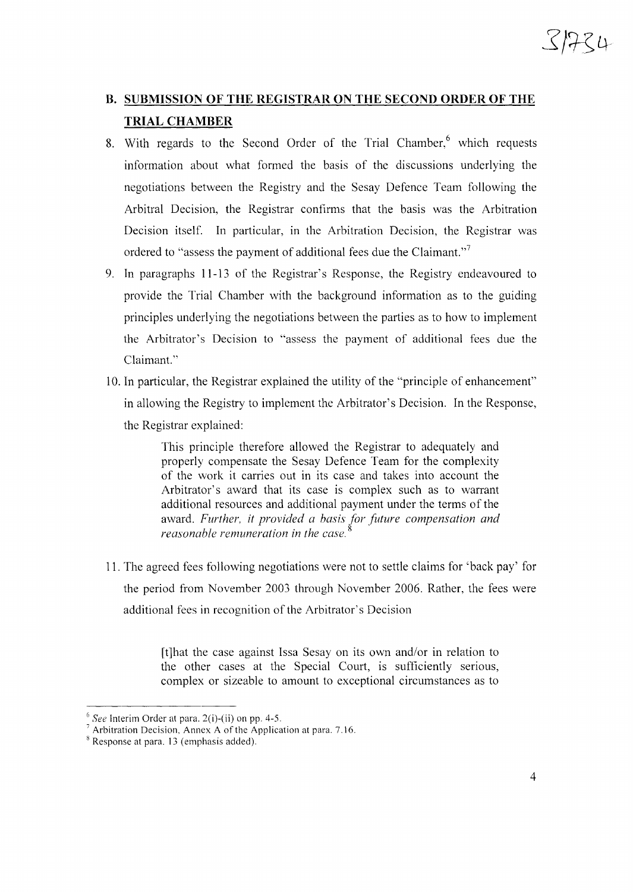

## **B. SUBMISSION OF THE REGISTRAR ON THE SECOND ORDER OF THE TRIAL CHAMBER**

- 8. With regards to the Second Order of the Trial Chamber,<sup>6</sup> which requests information about what formed the basis of the discussions underlying the negotiations between the Registry and the Sesay Defence Team following the Arbitral Decision, the Registrar confirms that the basis was the Arbitration Decision itself. In particular, in the Arbitration Decision, the Registrar was ordered to "assess the payment of additional fees due the Claimant."<sup>7</sup>
- 9. In paragraphs 11-13 of the Registrar's Response, the Registry endeavoured to provide the Trial Chamber with the background information as to the guiding principles underlying the negotiations between the parties as to how to implement the Arbitrator's Decision to "assess the payment of additional fees due the Claimant."
- 10. In particular, the Registrar explained the utility of the "principle of enhancement" in allowing the Registry to implement the Arbitrator's Decision. In the Response, the Registrar explained:

This principle therefore allowed the Registrar to adequately and properly compensate the Sesay Defence Team for the complexity of the work it carries out in its case and takes into account the Arbitrator's award that its case is complex such as to warrant additional resources and additional payment under the terms of the award. *Further, it provided a basis for future compensation and reasonable remuneration in the case.* 8

11. The agreed fees following negotiations were not to settle claims for 'back pay' for the period from November 2003 through November 2006. Rather, the fees were additional fees in recognition of the Arbitrator's Decision

> [t]hat the case against Issa Sesay on its own and/or in relation to the other cases at the Special Court, is sufficiently serious, complex or sizeable to amount to exceptional circumstances as to

<sup>6</sup> *See* Interim Order at para. 2(i)-(ii) on pp. 4-5.

<sup>7</sup> Arbitration Decision, Annex A of the Application at para. 7.16.

<sup>8</sup> Response at para. 13 (emphasis added).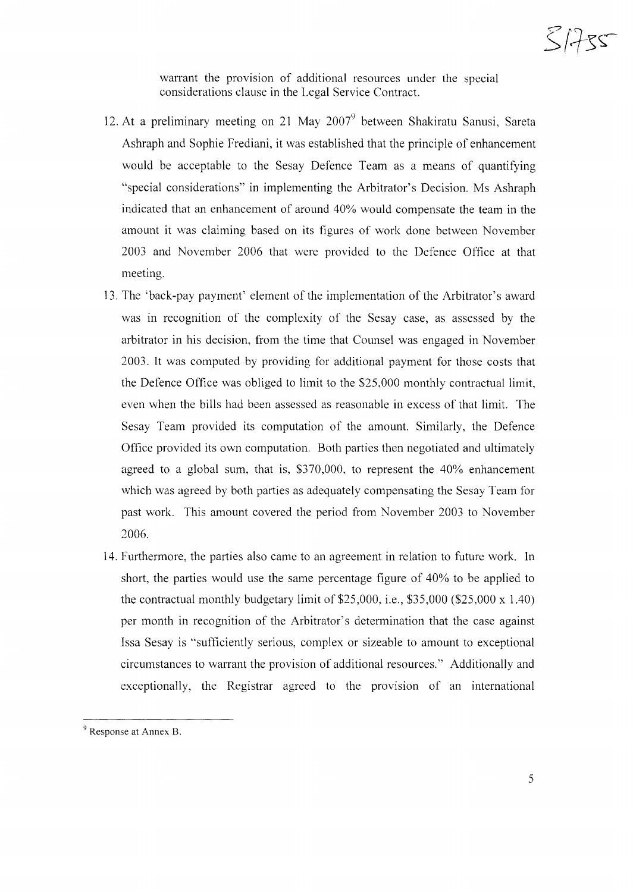

warrant the provision of additional resources under the special considerations clause in the Legal Service Contract.

- 12. At a preliminary meeting on 21 May  $2007<sup>9</sup>$  between Shakiratu Sanusi, Sareta Ashraph and Sophie Frediani, it was established that the principle of enhancement would be acceptable to the Sesay Defence Team as a means of quantifying "special considerations" in implementing the Arbitrator's Decision. Ms Ashraph indicated that an enhancement of around 40% would compensate the team in the amount it was claiming based on its figures of work done between November 2003 and November 2006 that were provided to the Defence Office at that meeting.
- 13. The 'back-pay payment' element of the implementation of the Arbitrator's award was in recognition of the complexity of the Sesay case, as assessed by the arbitrator in his decision, from the time that Counsel was engaged in November 2003. It was computed by providing for additional payment for those costs that the Defence Office was obliged to limit to the \$25,000 monthly contractual limit, even when the bills had been assessed as reasonable in excess of that limit. The Sesay Team provided its computation of the amount. Similarly, the Defence Office provided its own computation. Both parties then negotiated and ultimately agreed to a global sum, that is, \$370,000, to represent the 40% enhancement which was agreed by both parties as adequately compensating the Sesay Team for past work. This amount covered the period from November 2003 to November 2006.
- 14. Furthermore, the parties also came to an agreement in relation to future work. In short, the parties would use the same percentage figure of 40% to be applied to the contractual monthly budgetary limit of \$25,000, i.e., \$35,000 (\$25,000 x 1.40) per month in recognition of the Arbitrator's determination that the case against Issa Sesay is "sufficiently serious, complex or sizeable to amount to exceptional circumstances to warrant the provision of additional resources." Additionally and exceptionally, the Registrar agreed to the provision of an international

<sup>&</sup>lt;sup>9</sup> Response at Annex B.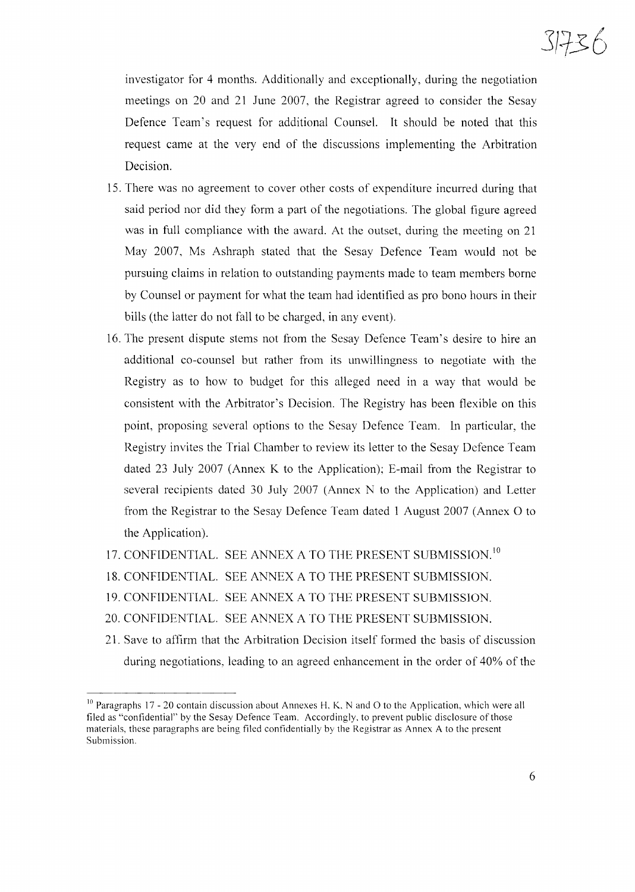investigator for 4 months. Additionally and exceptionally, during the negotiation meetings on 20 and 21 June 2007, the Registrar agreed to consider the Sesay Defence Team's request for additional Counsel. It should be noted that this request came at the very end of the discussions implementing the Arbitration Decision.

- 15. There was no agreement to cover other costs of expenditure incurred during that said period nor did they form a part of the negotiations. The global figure agreed was in full compliance with the award. At the outset, during the meeting on 21 May 2007, Ms Ashraph stated that the Sesay Defence Team would not be pursuing claims in relation to outstanding payments made to team members borne by Counsel or payment for what the team had identified as pro bono hours in their bills (the latter do not fall to be charged, in any event).
- 16. The present dispute stems not from the Sesay Defence Team's desire to hire an additional co-counsel but rather from its unwillingness to negotiate with the Registry as to how to budget for this alleged need in a way that would be consistent with the Arbitrator's Decision. The Registry has been flexible on this point, proposing several options to the Sesay Defence Team. In particular, the Registry invites the Trial Chamber to review its letter to the Sesay Defence Team dated 23 July 2007 (Annex K to the Application); E-mail from the Registrar to several recipients dated 30 July 2007 (Annex N to the Application) and Letter from the Registrar to the Sesay Defence Team dated 1 August 2007 (Annex 0 to the Application).
- 17. CONFIDENTIAL. SEE ANNEX A TO THE PRESENT SUBMISSION.<sup>10</sup>
- 18. CONFIDENTIAL. SEE ANNEX A TO THE PRESENT SUBMISSION.
- 19. CONFIDENTIAL. SEE ANNEX A TO THE PRESENT SUBMISSION.
- 20. CONFIDENTIAL. SEE ANNEX A TO THE PRESENT SUBMISSION.
- 21. Save to affirm that the Arbitration Decision itself formed the basis of discussion during negotiations, leading to an agreed enhancement in the order of 40% of the

<sup>&</sup>lt;sup>10</sup> Paragraphs 17 - 20 contain discussion about Annexes H, K, N and O to the Application, which were all filed as "confidential" by the Sesay Defence Team. Accordingly. to prevent public disclosure of those materials, these paragraphs are being filed confidentially by the Registrar as Annex A to the present Submission.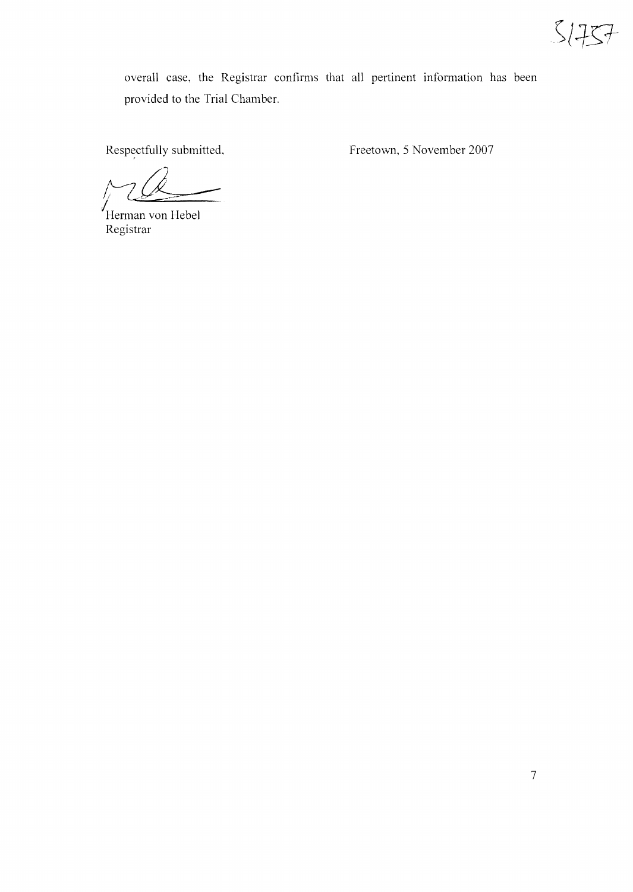

overall case, the Registrar confirms that all pertinent information has been provided to the Trial Chamber.

Respectfully submitted,

Freetown, 5 November 2007

Herman von Hebel Registrar